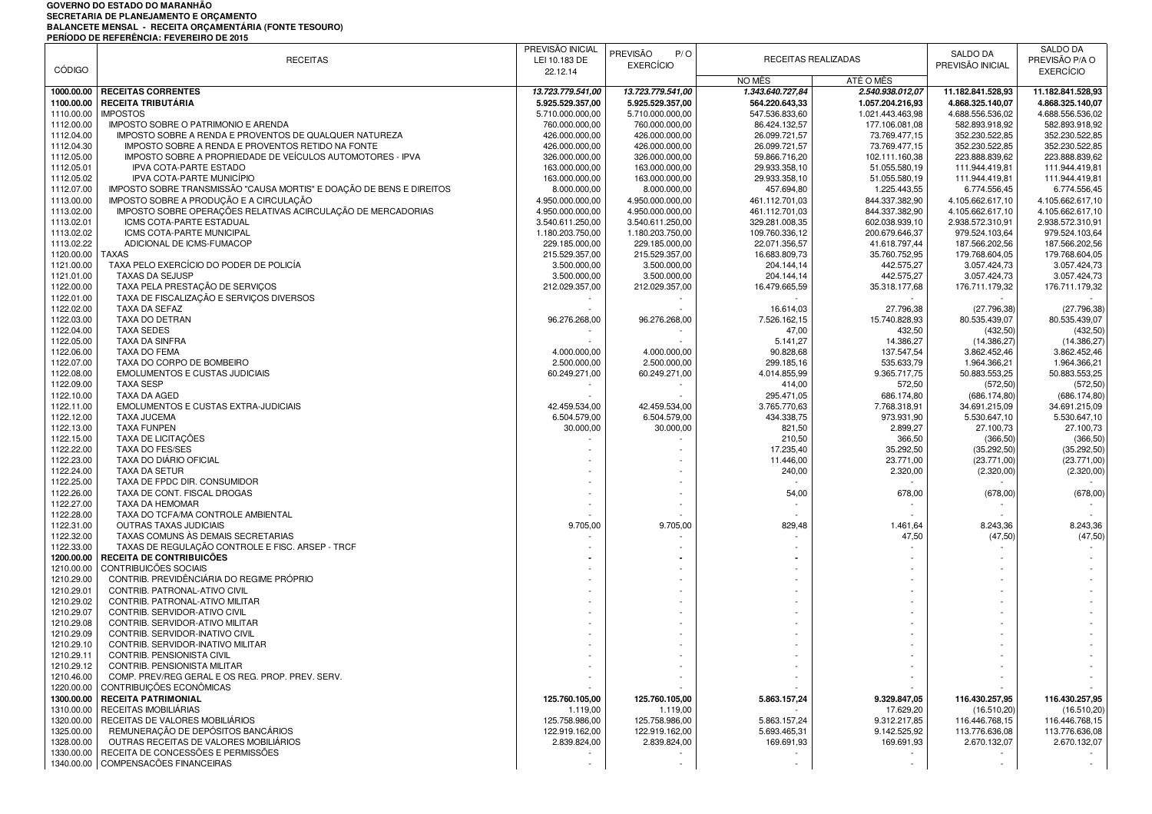## GOVERNO DO ESTADO DO MARANHÃO<br>SECRETARIA DE PLANEJAMENTO E ORÇAMENTO<br>BALANCETE MENSAL - RECEITA ORÇAMENTÁRIA (FONTE TESOURO)<br>PERÍODO DE REFERÊNCIA: FEVEREIRO DE 2015

| <b>CÓDIGO</b>            | <b>RECEITAS</b>                                                                             | PREVISÃO INICIAL<br>LEI 10.183 DE | <b>PREVISÃO</b><br>P/O<br><b>EXERCÍCIO</b> | RECEITAS REALIZADAS            |                                | SALDO DA<br>PREVISÃO INICIAL     | SALDO DA<br>PREVISÃO P/A O       |
|--------------------------|---------------------------------------------------------------------------------------------|-----------------------------------|--------------------------------------------|--------------------------------|--------------------------------|----------------------------------|----------------------------------|
|                          |                                                                                             | 22.12.14                          |                                            | NO MÊS                         | ATÉ O MÊS                      |                                  | <b>EXERCÍCIO</b>                 |
| 1000.00.00               | <b>RECEITAS CORRENTES</b>                                                                   | 13.723.779.541,00                 | 13.723.779.541,00                          | 1.343.640.727,84               | 2.540.938.012.07               | 11.182.841.528,93                | 11.182.841.528,93                |
| 1100.00.00               | <b>RECEITA TRIBUTÁRIA</b>                                                                   | 5.925.529.357,00                  | 5.925.529.357,00                           | 564.220.643,33                 | 1.057.204.216,93               | 4.868.325.140,07                 | 4.868.325.140,07                 |
| 1110.00.00               | <b>IMPOSTOS</b>                                                                             | 5.710.000.000,00                  | 5.710.000.000,00                           | 547.536.833,60                 | 1.021.443.463.98               | 4.688.556.536,02                 | 4.688.556.536,02                 |
| 1112.00.00               | IMPOSTO SOBRE O PATRIMONIO E ARENDA                                                         | 760.000.000,00                    | 760.000.000,00                             | 86.424.132,57                  | 177.106.081,08                 | 582.893.918,92                   | 582.893.918,92                   |
| 1112.04.00               | IMPOSTO SOBRE A RENDA E PROVENTOS DE QUALQUER NATUREZA                                      | 426.000.000,00                    | 426.000.000,00                             | 26.099.721,57                  | 73.769.477,15                  | 352.230.522,85                   | 352.230.522,85                   |
| 1112.04.30               | IMPOSTO SOBRE A RENDA E PROVENTOS RETIDO NA FONTE                                           | 426.000.000,00                    | 426.000.000,00                             | 26.099.721,57                  | 73.769.477,15                  | 352.230.522,85                   | 352.230.522,85                   |
| 1112.05.00               | IMPOSTO SOBRE A PROPRIEDADE DE VEICULOS AUTOMOTORES - IPVA<br><b>IPVA COTA-PARTE ESTADO</b> | 326.000.000,00                    | 326.000.000,00                             | 59.866.716,20<br>29.933.358,10 | 102.111.160,38                 | 223.888.839,62                   | 223.888.839,62                   |
| 1112.05.01<br>1112.05.02 | IPVA COTA-PARTE MUNICÍPIO                                                                   | 163.000.000,00<br>163.000.000,00  | 163.000.000,00<br>163.000.000,00           | 29.933.358,10                  | 51.055.580,19<br>51.055.580,19 | 111.944.419,81<br>111.944.419,81 | 111.944.419,81<br>111.944.419,81 |
| 1112.07.00               | IMPOSTO SOBRE TRANSMISSÃO "CAUSA MORTIS" E DOAÇÃO DE BENS E DIREITOS                        | 8.000.000,00                      | 8.000.000,00                               | 457.694,80                     | 1.225.443,55                   | 6.774.556,45                     | 6.774.556,45                     |
| 1113.00.00               | IMPOSTO SOBRE A PRODUÇÃO E A CIRCULAÇÃO                                                     | 4.950.000.000,00                  | 4.950.000.000,00                           | 461.112.701,03                 | 844.337.382,90                 | 4.105.662.617,10                 | 4.105.662.617,10                 |
| 1113.02.00               | IMPOSTO SOBRE OPERAÇÕES RELATIVAS ACIRCULAÇÃO DE MERCADORIAS                                | 4.950.000.000,00                  | 4.950.000.000,00                           | 461.112.701.03                 | 844.337.382,90                 | 4.105.662.617,10                 | 4.105.662.617,10                 |
| 1113.02.01               | ICMS COTA-PARTE ESTADUAL                                                                    | 3.540.611.250,00                  | 3.540.611.250,00                           | 329.281.008,35                 | 602.038.939,10                 | 2.938.572.310,91                 | 2.938.572.310,91                 |
| 1113.02.02               | ICMS COTA-PARTE MUNICIPAL                                                                   | 1.180.203.750,00                  | 1.180.203.750,00                           | 109.760.336,12                 | 200.679.646,37                 | 979.524.103,64                   | 979.524.103,64                   |
| 1113.02.22               | ADICIONAL DE ICMS-FUMACOP                                                                   | 229.185.000,00                    | 229.185.000,00                             | 22.071.356,57                  | 41.618.797,44                  | 187.566.202,56                   | 187.566.202,56                   |
| 1120.00.00               | <b>TAXAS</b>                                                                                | 215.529.357,00                    | 215.529.357,00                             | 16.683.809,73                  | 35.760.752,95                  | 179.768.604,05                   | 179.768.604,05                   |
| 1121.00.00               | TAXA PELO EXERCÍCIO DO PODER DE POLICÍA                                                     | 3.500.000,00                      | 3.500.000,00                               | 204.144,14                     | 442.575,27                     | 3.057.424,73                     | 3.057.424,73                     |
| 1121.01.00               | <b>TAXAS DA SEJUSP</b>                                                                      | 3.500.000,00                      | 3.500.000,00                               | 204.144,14                     | 442.575,27                     | 3.057.424,73                     | 3.057.424,73                     |
| 1122.00.00               | TAXA PELA PRESTAÇÃO DE SERVIÇOS                                                             | 212.029.357,00                    | 212.029.357,00                             | 16.479.665,59                  | 35.318.177,68                  | 176.711.179,32                   | 176.711.179,32                   |
| 1122.01.00               | TAXA DE FISCALIZAÇÃO E SERVIÇOS DIVERSOS                                                    |                                   |                                            |                                |                                |                                  |                                  |
| 1122.02.00<br>1122.03.00 | TAXA DA SEFAZ<br>TAXA DO DETRAN                                                             | 96.276.268,00                     | 96.276.268,00                              | 16.614,03<br>7.526.162,15      | 27.796,38<br>15.740.828,93     | (27.796, 38)<br>80.535.439,07    | (27.796, 38)<br>80.535.439,07    |
| 1122.04.00               | <b>TAXA SEDES</b>                                                                           |                                   |                                            | 47,00                          | 432,50                         | (432, 50)                        | (432, 50)                        |
| 1122.05.00               | <b>TAXA DA SINFRA</b>                                                                       |                                   |                                            | 5.141,27                       | 14.386,27                      | (14.386, 27)                     | (14.386, 27)                     |
| 1122.06.00               | TAXA DO FEMA                                                                                | 4.000.000,00                      | 4.000.000,00                               | 90.828,68                      | 137.547,54                     | 3.862.452,46                     | 3.862.452,46                     |
| 1122.07.00               | TAXA DO CORPO DE BOMBEIRO                                                                   | 2.500.000,00                      | 2.500.000,00                               | 299.185,16                     | 535.633,79                     | 1.964.366,21                     | 1.964.366,21                     |
| 1122.08.00               | <b>EMOLUMENTOS E CUSTAS JUDICIAIS</b>                                                       | 60.249.271,00                     | 60.249.271,00                              | 4.014.855,99                   | 9.365.717,75                   | 50.883.553,25                    | 50.883.553,25                    |
| 1122.09.00               | <b>TAXA SESP</b>                                                                            |                                   |                                            | 414,00                         | 572,50                         | (572, 50)                        | (572, 50)                        |
| 1122.10.00               | <b>TAXA DA AGED</b>                                                                         |                                   |                                            | 295.471,05                     | 686.174,80                     | (686.174, 80)                    | (686.174, 80)                    |
| 1122.11.00               | EMOLUMENTOS E CUSTAS EXTRA-JUDICIAIS                                                        | 42.459.534,00                     | 42.459.534,00                              | 3.765.770,63                   | 7.768.318,91                   | 34.691.215,09                    | 34.691.215,09                    |
| 1122.12.00               | <b>TAXA JUCEMA</b>                                                                          | 6.504.579,00                      | 6.504.579,00                               | 434.338,75                     | 973.931,90                     | 5.530.647,10                     | 5.530.647,10                     |
| 1122.13.00               | <b>TAXA FUNPEN</b>                                                                          | 30.000,00                         | 30.000,00                                  | 821,50                         | 2.899,27                       | 27.100,73                        | 27.100,73                        |
| 1122.15.00               | TAXA DE LICITAÇÕES                                                                          |                                   |                                            | 210,50                         | 366,50                         | (366, 50)                        | (366, 50)                        |
| 1122.22.00               | TAXA DO FES/SES                                                                             |                                   |                                            | 17.235,40                      | 35.292,50                      | (35.292, 50)                     | (35.292, 50)                     |
| 1122.23.00<br>1122.24.00 | TAXA DO DIÁRIO OFICIAL<br>TAXA DA SETUR                                                     |                                   |                                            | 11.446,00<br>240,00            | 23.771,00<br>2.320,00          | (23.771,00)<br>(2.320,00)        | (23.771,00)<br>(2.320,00)        |
| 1122.25.00               | TAXA DE FPDC DIR. CONSUMIDOR                                                                |                                   |                                            |                                |                                |                                  |                                  |
| 1122.26.00               | TAXA DE CONT. FISCAL DROGAS                                                                 |                                   |                                            | 54,00                          | 678,00                         | (678,00)                         | (678,00)                         |
| 1122.27.00               | TAXA DA HEMOMAR                                                                             |                                   |                                            |                                |                                |                                  |                                  |
| 1122.28.00               | TAXA DO TCFA/MA CONTROLE AMBIENTAL                                                          |                                   |                                            |                                |                                |                                  |                                  |
| 1122.31.00               | <b>OUTRAS TAXAS JUDICIAIS</b>                                                               | 9.705,00                          | 9.705,00                                   | 829,48                         | 1.461,64                       | 8.243,36                         | 8.243,36                         |
| 1122.32.00               | TAXAS COMUNS ÀS DEMAIS SECRETARIAS                                                          |                                   |                                            |                                | 47,50                          | (47, 50)                         | (47, 50)                         |
| 1122.33.00               | TAXAS DE REGULAÇÃO CONTROLE E FISC. ARSEP - TRCF                                            |                                   |                                            |                                |                                |                                  |                                  |
| 1200.00.00               | RECEITA DE CONTRIBUICÕES                                                                    |                                   |                                            |                                |                                |                                  |                                  |
| 1210.00.00               | CONTRIBUICÕES SOCIAIS                                                                       |                                   |                                            |                                |                                |                                  |                                  |
| 1210.29.00               | CONTRIB. PREVIDÊNCIÁRIA DO REGIME PRÓPRIO                                                   |                                   |                                            |                                |                                |                                  |                                  |
| 1210.29.01<br>1210.29.02 | CONTRIB. PATRONAL-ATIVO CIVIL<br>CONTRIB. PATRONAL-ATIVO MILITAR                            |                                   |                                            |                                |                                |                                  |                                  |
| 1210.29.07               | CONTRIB. SERVIDOR-ATIVO CIVIL                                                               |                                   |                                            |                                |                                |                                  |                                  |
| 1210.29.08               | CONTRIB. SERVIDOR-ATIVO MILITAR                                                             |                                   |                                            |                                |                                |                                  |                                  |
| 1210.29.09               | CONTRIB. SERVIDOR-INATIVO CIVIL                                                             |                                   |                                            |                                |                                |                                  |                                  |
| 1210.29.10               | CONTRIB. SERVIDOR-INATIVO MILITAR                                                           |                                   |                                            |                                |                                |                                  |                                  |
| 1210.29.11               | CONTRIB. PENSIONISTA CIVIL                                                                  |                                   |                                            |                                |                                |                                  |                                  |
| 1210.29.12               | CONTRIB. PENSIONISTA MILITAR                                                                |                                   |                                            |                                |                                |                                  |                                  |
| 1210.46.00               | COMP. PREV/REG GERAL E OS REG. PROP. PREV. SERV.                                            |                                   |                                            |                                |                                |                                  |                                  |
| 1220.00.00               | CONTRIBUICÕES ECONÔMICAS                                                                    |                                   |                                            |                                |                                |                                  |                                  |
| 1300.00.00               | <b>RECEITA PATRIMONIAL</b>                                                                  | 125.760.105,00                    | 125.760.105,00                             | 5.863.157,24                   | 9.329.847,05                   | 116.430.257,95                   | 116.430.257,95                   |
| 1310.00.00               | RECEITAS IMOBILIÁRIAS                                                                       | 1.119,00                          | 1.119,00                                   |                                | 17.629,20                      | (16.510, 20)                     | (16.510, 20)                     |
| 1320.00.00               | RECEITAS DE VALORES MOBILIÁRIOS                                                             | 125.758.986,00                    | 125.758.986,00                             | 5.863.157,24                   | 9.312.217,85                   | 116.446.768,15                   | 116.446.768,15                   |
| 1325.00.00               | REMUNERAÇÃO DE DEPÓSITOS BANCÁRIOS<br>OUTRAS RECEITAS DE VALORES MOBILIÁRIOS                | 122.919.162,00<br>2.839.824,00    | 122.919.162,00                             | 5.693.465,31                   | 9.142.525,92                   | 113.776.636,08                   | 113.776.636,08                   |
| 1328.00.00<br>1330.00.00 | RECEITA DE CONCESSÕES E PERMISSÕES                                                          |                                   | 2.839.824,00                               | 169.691,93                     | 169.691,93                     | 2.670.132,07                     | 2.670.132,07                     |
| 1340.00.00               | COMPENSACÕES FINANCEIRAS                                                                    |                                   |                                            |                                |                                |                                  |                                  |
|                          |                                                                                             |                                   |                                            |                                |                                |                                  |                                  |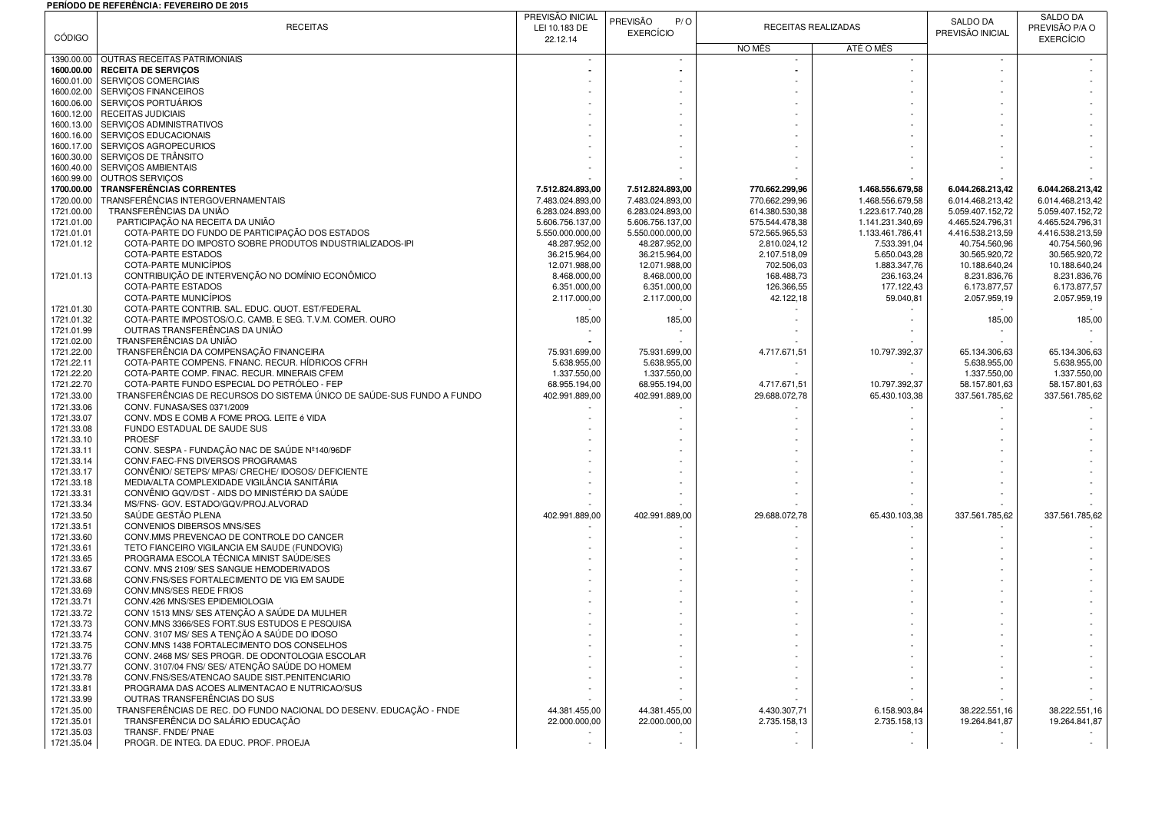## **PERÍODO DE REFERÊNCIA: FEVEREIRO DE 2015**

|                          | PERIODO DE REFERENCIA: FEVEREIRO DE 2013                                                       | PREVISÃO INICIAL                     |                                      |                                  |                            |                                      | <b>SALDO DA</b>                      |
|--------------------------|------------------------------------------------------------------------------------------------|--------------------------------------|--------------------------------------|----------------------------------|----------------------------|--------------------------------------|--------------------------------------|
|                          | <b>RECEITAS</b>                                                                                | LEI 10.183 DE                        | PREVISÃO<br>P/O<br><b>EXERCÍCIO</b>  |                                  | RECEITAS REALIZADAS        | SALDO DA<br>PREVISÃO INICIAL         | PREVISÃO P/A O                       |
| <b>CÓDIGO</b>            |                                                                                                | 22.12.14                             |                                      | NO MÊS                           | ATÉ O MÊS                  |                                      | <b>EXERCÍCIO</b>                     |
| 1390.00.00               | OUTRAS RECEITAS PATRIMONIAIS                                                                   | $\overline{\phantom{a}}$             |                                      |                                  |                            |                                      |                                      |
| 1600.00.00               | <b>RECEITA DE SERVIÇOS</b>                                                                     |                                      |                                      |                                  |                            |                                      |                                      |
| 1600.01.00               | SERVIÇOS COMERCIAIS                                                                            |                                      |                                      |                                  |                            |                                      |                                      |
| 1600.02.00               | SERVIÇOS FINANCEIROS                                                                           |                                      |                                      |                                  |                            |                                      |                                      |
| 1600.06.00<br>1600.12.00 | SERVIÇOS PORTUÁRIOS<br><b>RECEITAS JUDICIAIS</b>                                               |                                      |                                      |                                  |                            |                                      |                                      |
| 1600.13.00               | SERVIÇOS ADMINISTRATIVOS                                                                       |                                      |                                      |                                  |                            |                                      |                                      |
| 1600.16.00               | SERVIÇOS EDUCACIONAIS                                                                          |                                      |                                      |                                  |                            |                                      |                                      |
| 1600.17.00               | SERVIÇOS AGROPECURIOS                                                                          |                                      |                                      |                                  |                            |                                      |                                      |
| 1600.30.00               | SERVICOS DE TRÂNSITO                                                                           |                                      |                                      |                                  |                            |                                      |                                      |
| 1600.40.00               | SERVIÇOS AMBIENTAIS                                                                            |                                      |                                      |                                  |                            |                                      |                                      |
| 1600.99.00<br>1700.00.00 | OUTROS SERVIÇOS<br><b>TRANSFERÊNCIAS CORRENTES</b>                                             |                                      |                                      |                                  | 1.468.556.679,58           |                                      |                                      |
| 1720.00.00               | TRANSFERÊNCIAS INTERGOVERNAMENTAIS                                                             | 7.512.824.893,00<br>7.483.024.893,00 | 7.512.824.893,00<br>7.483.024.893,00 | 770.662.299,96<br>770.662.299,96 | 1.468.556.679,58           | 6.044.268.213,42<br>6.014.468.213,42 | 6.044.268.213,42<br>6.014.468.213,42 |
| 1721.00.00               | TRANSFERÊNCIAS DA UNIÃO                                                                        | 6.283.024.893,00                     | 6.283.024.893,00                     | 614.380.530,38                   | 1.223.617.740,28           | 5.059.407.152,72                     | 5.059.407.152,72                     |
| 1721.01.00               | PARTICIPAÇÃO NA RECEITA DA UNIÃO                                                               | 5.606.756.137,00                     | 5.606.756.137,00                     | 575.544.478,38                   | 1.141.231.340,69           | 4.465.524.796,31                     | 4.465.524.796,31                     |
| 1721.01.01               | COTA-PARTE DO FUNDO DE PARTICIPAÇÃO DOS ESTADOS                                                | 5.550.000.000,00                     | 5.550.000.000,00                     | 572.565.965,53                   | 1.133.461.786,41           | 4.416.538.213,59                     | 4.416.538.213,59                     |
| 1721.01.12               | COTA-PARTE DO IMPOSTO SOBRE PRODUTOS INDUSTRIALIZADOS-IPI                                      | 48.287.952,00                        | 48.287.952,00                        | 2.810.024,12                     | 7.533.391,04               | 40.754.560,96                        | 40.754.560,96                        |
|                          | COTA-PARTE ESTADOS                                                                             | 36.215.964,00                        | 36.215.964,00                        | 2.107.518,09                     | 5.650.043,28               | 30.565.920,72                        | 30.565.920,72                        |
| 1721.01.13               | COTA-PARTE MUNICIPIOS<br>CONTRIBUIÇÃO DE INTERVENÇÃO NO DOMÍNIO ECONÔMICO                      | 12.071.988,00<br>8.468.000,00        | 12.071.988,00<br>8.468.000,00        | 702.506,03<br>168.488,73         | 1.883.347,76<br>236.163,24 | 10.188.640,24<br>8.231.836,76        | 10.188.640,24<br>8.231.836,76        |
|                          | COTA-PARTE ESTADOS                                                                             | 6.351.000,00                         | 6.351.000,00                         | 126.366,55                       | 177.122,43                 | 6.173.877,57                         | 6.173.877,57                         |
|                          | COTA-PARTE MUNICÍPIOS                                                                          | 2.117.000,00                         | 2.117.000,00                         | 42.122,18                        | 59.040,81                  | 2.057.959,19                         | 2.057.959,19                         |
| 1721.01.30               | COTA-PARTE CONTRIB, SAL, EDUC, QUOT, EST/FEDERAL                                               |                                      |                                      |                                  |                            |                                      |                                      |
| 1721.01.32               | COTA-PARTE IMPOSTOS/O.C. CAMB. E SEG. T.V.M. COMER. OURO                                       | 185,00                               | 185,00                               |                                  |                            | 185,00                               | 185,00                               |
| 1721.01.99               | OUTRAS TRANSFERÊNCIAS DA UNIÃO                                                                 |                                      |                                      |                                  |                            |                                      |                                      |
| 1721.02.00               | TRANSFERÊNCIAS DA UNIÃO                                                                        |                                      |                                      |                                  |                            |                                      |                                      |
| 1721.22.00<br>1721.22.11 | TRANSFERÊNCIA DA COMPENSAÇÃO FINANCEIRA<br>COTA-PARTE COMPENS. FINANC. RECUR. HÍDRICOS CFRH    | 75.931.699,00<br>5.638.955,00        | 75.931.699,00<br>5.638.955,00        | 4.717.671,51                     | 10.797.392,37              | 65.134.306,63<br>5.638.955,00        | 65.134.306,63<br>5.638.955,00        |
| 1721.22.20               | COTA-PARTE COMP. FINAC. RECUR. MINERAIS CFEM                                                   | 1.337.550,00                         | 1.337.550,00                         |                                  |                            | 1.337.550,00                         | 1.337.550,00                         |
| 1721.22.70               | COTA-PARTE FUNDO ESPECIAL DO PETRÓLEO - FEP                                                    | 68.955.194,00                        | 68.955.194,00                        | 4.717.671,51                     | 10.797.392,37              | 58.157.801,63                        | 58.157.801,63                        |
| 1721.33.00               | TRANSFERÊNCIAS DE RECURSOS DO SISTEMA ÚNICO DE SAÚDE-SUS FUNDO A FUNDO                         | 402.991.889,00                       | 402.991.889,00                       | 29.688.072,78                    | 65.430.103,38              | 337.561.785,62                       | 337.561.785,62                       |
| 1721.33.06               | CONV. FUNASA/SES 0371/2009                                                                     |                                      |                                      |                                  |                            |                                      |                                      |
| 1721.33.07               | CONV. MDS E COMB A FOME PROG. LEITE é VIDA                                                     |                                      |                                      |                                  |                            |                                      |                                      |
| 1721.33.08               | FUNDO ESTADUAL DE SAUDE SUS                                                                    |                                      |                                      |                                  |                            |                                      |                                      |
| 1721.33.10<br>1721.33.11 | PROESF<br>CONV. SESPA - FUNDAÇÃO NAC DE SAÚDE Nº140/96DF                                       |                                      |                                      |                                  |                            |                                      |                                      |
| 1721.33.14               | CONV.FAEC-FNS DIVERSOS PROGRAMAS                                                               |                                      |                                      |                                  |                            |                                      |                                      |
| 1721.33.17               | CONVÊNIO/ SETEPS/ MPAS/ CRECHE/ IDOSOS/ DEFICIENTE                                             |                                      |                                      |                                  |                            |                                      |                                      |
| 1721.33.18               | MEDIA/ALTA COMPLEXIDADE VIGILÂNCIA SANITÁRIA                                                   |                                      |                                      |                                  |                            |                                      |                                      |
| 1721.33.31               | CONVÊNIO GQV/DST - AIDS DO MINISTÉRIO DA SAÚDE                                                 |                                      |                                      |                                  |                            |                                      |                                      |
| 1721.33.34               | MS/FNS- GOV. ESTADO/GQV/PROJ.ALVORAD                                                           |                                      |                                      |                                  |                            |                                      |                                      |
| 1721.33.50<br>1721.33.51 | SAÚDE GESTÃO PLENA<br>CONVENIOS DIBERSOS MNS/SES                                               | 402.991.889,00                       | 402.991.889,00                       | 29.688.072,78                    | 65.430.103,38              | 337.561.785,62                       | 337.561.785,62                       |
| 1721.33.60               | CONV.MMS PREVENCAO DE CONTROLE DO CANCER                                                       |                                      |                                      |                                  |                            |                                      |                                      |
| 1721.33.61               | TETO FIANCEIRO VIGILANCIA EM SAUDE (FUNDOVIG)                                                  |                                      |                                      |                                  |                            |                                      |                                      |
| 1721.33.65               | PROGRAMA ESCOLA TÉCNICA MINIST SAÚDE/SES                                                       |                                      |                                      |                                  |                            |                                      |                                      |
| 1721.33.67               | CONV. MNS 2109/ SES SANGUE HEMODERIVADOS                                                       |                                      |                                      |                                  |                            |                                      |                                      |
| 1721.33.68               | CONV.FNS/SES FORTALECIMENTO DE VIG EM SAUDE                                                    |                                      |                                      |                                  |                            |                                      |                                      |
| 1721.33.69               | CONV.MNS/SES REDE FRIOS<br>CONV.426 MNS/SES EPIDEMIOLOGIA                                      |                                      |                                      |                                  |                            |                                      |                                      |
| 1721.33.71<br>1721.33.72 | CONV 1513 MNS/ SES ATENÇÃO A SAÚDE DA MULHER                                                   |                                      |                                      |                                  |                            |                                      |                                      |
| 1721.33.73               | CONV.MNS 3366/SES FORT.SUS ESTUDOS E PESQUISA                                                  |                                      |                                      |                                  |                            |                                      |                                      |
| 1721.33.74               | CONV. 3107 MS/ SES A TENCÃO A SAÚDE DO IDOSO                                                   |                                      |                                      |                                  |                            |                                      |                                      |
| 1721.33.75               | CONV.MNS 1438 FORTALECIMENTO DOS CONSELHOS                                                     |                                      |                                      |                                  |                            |                                      |                                      |
| 1721.33.76               | CONV. 2468 MS/ SES PROGR. DE ODONTOLOGIA ESCOLAR                                               |                                      |                                      |                                  |                            |                                      |                                      |
| 1721.33.77               | CONV. 3107/04 FNS/ SES/ ATENÇÃO SAÚDE DO HOMEM                                                 |                                      |                                      |                                  |                            |                                      |                                      |
| 1721.33.78<br>1721.33.81 | CONV.FNS/SES/ATENCAO SAUDE SIST.PENITENCIARIO<br>PROGRAMA DAS ACOES ALIMENTACAO E NUTRICAO/SUS |                                      |                                      |                                  |                            |                                      |                                      |
| 1721.33.99               | OUTRAS TRANSFERÊNCIAS DO SUS                                                                   |                                      |                                      |                                  |                            |                                      |                                      |
| 1721.35.00               | TRANSFERÊNCIAS DE REC. DO FUNDO NACIONAL DO DESENV. EDUCAÇÃO - FNDE                            | 44.381.455,00                        | 44.381.455,00                        | 4.430.307,71                     | 6.158.903,84               | 38.222.551,16                        | 38.222.551,16                        |
| 1721.35.01               | TRANSFERÊNCIA DO SALÁRIO EDUCAÇÃO                                                              | 22.000.000,00                        | 22.000.000,00                        | 2.735.158,13                     | 2.735.158,13               | 19.264.841,87                        | 19.264.841,87                        |
| 1721.35.03               | TRANSF. FNDE/ PNAE                                                                             |                                      |                                      |                                  |                            |                                      |                                      |
| 1721.35.04               | PROGR. DE INTEG. DA EDUC. PROF. PROEJA                                                         | $\overline{\phantom{a}}$             |                                      |                                  |                            |                                      | $\sim 10^{-1}$                       |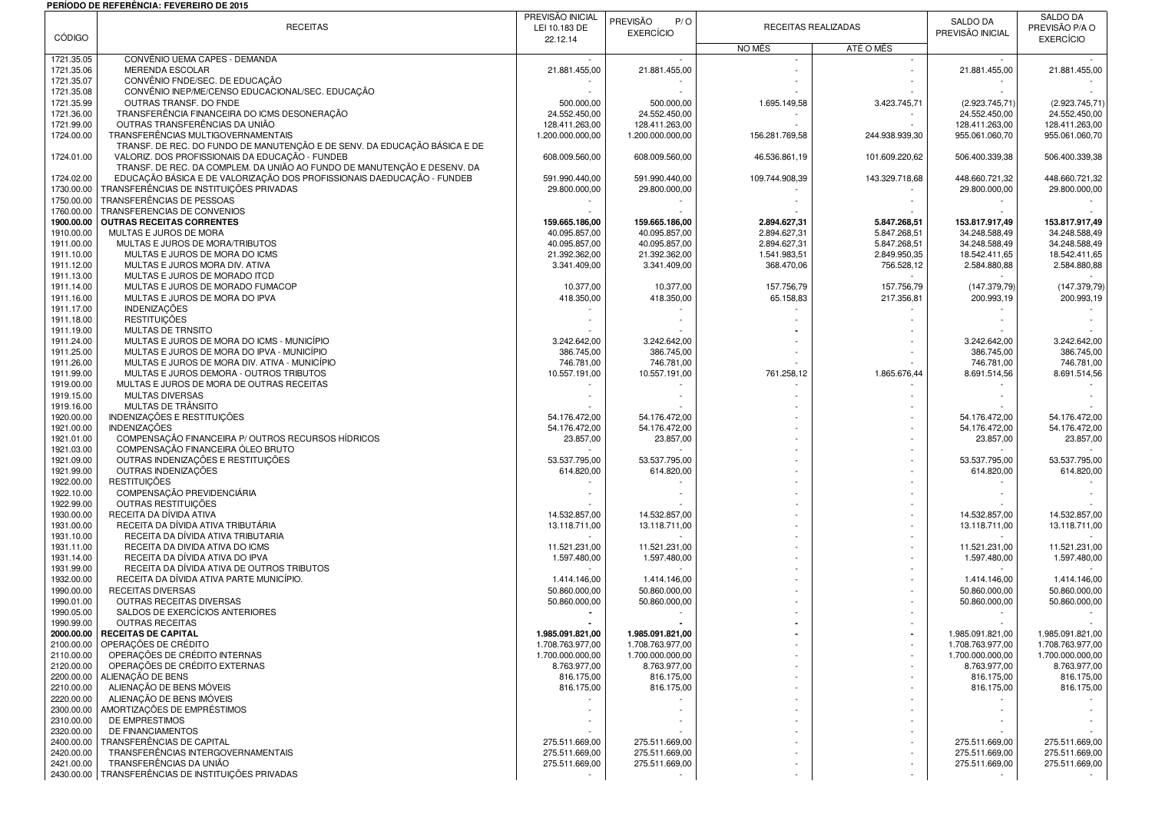## **PERÍODO DE REFERÊNCIA: FEVEREIRO DE 2015**

|                          |                                                                           | PREVISÃO INICIAL                   | PREVISÃO<br>P/O                    |                |                     | <b>SALDO DA</b>                  | SALDO DA                         |
|--------------------------|---------------------------------------------------------------------------|------------------------------------|------------------------------------|----------------|---------------------|----------------------------------|----------------------------------|
|                          | <b>RECEITAS</b>                                                           | LEI 10.183 DE                      | <b>EXERCÍCIO</b>                   |                | RECEITAS REALIZADAS |                                  | PREVISÃO P/A O                   |
| <b>CÓDIGO</b>            |                                                                           | 22.12.14                           |                                    | NO MÊS         | ATÉ O MÊS           | PREVISÃO INICIAL                 | <b>EXERCÍCIO</b>                 |
| 1721.35.05               | CONVÊNIO UEMA CAPES - DEMANDA                                             |                                    |                                    |                |                     |                                  |                                  |
| 1721.35.06               | MERENDA ESCOLAR                                                           | 21.881.455,00                      | 21.881.455,00                      |                |                     | 21.881.455,00                    | 21.881.455,00                    |
| 1721.35.07               | CONVÊNIO FNDE/SEC. DE EDUCAÇÃO                                            |                                    |                                    |                |                     |                                  |                                  |
| 1721.35.08               | CONVÊNIO INEP/ME/CENSO EDUCACIONAL/SEC. EDUCAÇÃO                          |                                    |                                    |                |                     |                                  |                                  |
| 1721.35.99               | OUTRAS TRANSF. DO FNDE                                                    | 500.000,00                         | 500.000,00                         | 1.695.149,58   | 3.423.745,71        | (2.923.745, 71)                  | (2.923.745, 71)                  |
| 1721.36.00               | TRANSFERÊNCIA FINANCEIRA DO ICMS DESONERAÇÃO                              | 24.552.450,00                      | 24.552.450,00                      |                |                     | 24.552.450,00                    | 24.552.450,00                    |
| 1721.99.00<br>1724.00.00 | OUTRAS TRANSFERÊNCIAS DA UNIÃO<br>TRANSFERÊNCIAS MULTIGOVERNAMENTAIS      | 128.411.263,00<br>1.200.000.000,00 | 128.411.263,00<br>1.200.000.000,00 | 156.281.769,58 | 244.938.939,30      | 128.411.263,00<br>955.061.060,70 | 128.411.263,00<br>955.061.060,70 |
|                          | TRANSF. DE REC. DO FUNDO DE MANUTENÇÃO E DE SENV. DA EDUCAÇÃO BÁSICA E DE |                                    |                                    |                |                     |                                  |                                  |
| 1724.01.00               | VALORIZ. DOS PROFISSIONAIS DA EDUCAÇÃO - FUNDEB                           | 608.009.560,00                     | 608.009.560,00                     | 46.536.861,19  | 101.609.220,62      | 506.400.339,38                   | 506.400.339,38                   |
|                          | TRANSF. DE REC. DA COMPLEM. DA UNIÃO AO FUNDO DE MANUTENÇÃO E DESENV. DA  |                                    |                                    |                |                     |                                  |                                  |
| 1724.02.00               | EDUCAÇÃO BÁSICA E DE VALORIZAÇÃO DOS PROFISSIONAIS DAEDUCAÇÃO - FUNDEB    | 591.990.440,00                     | 591.990.440.00                     | 109.744.908.39 | 143.329.718,68      | 448.660.721.32                   | 448.660.721,32                   |
| 1730.00.00               | TRANSFERÊNCIAS DE INSTITUIÇÕES PRIVADAS                                   | 29.800.000,00                      | 29.800.000,00                      |                |                     | 29.800.000.00                    | 29.800.000,00                    |
| 1750.00.00               | TRANSFERÊNCIAS DE PESSOAS<br>TRANSFERENCIAS DE CONVENIOS                  |                                    |                                    |                |                     |                                  |                                  |
| 1760.00.00<br>1900.00.00 | <b>OUTRAS RECEITAS CORRENTES</b>                                          | 159.665.186,00                     | 159.665.186,00                     | 2.894.627,31   | 5.847.268,51        | 153.817.917,49                   | 153.817.917,49                   |
| 1910.00.00               | MULTAS E JUROS DE MORA                                                    | 40.095.857,00                      | 40.095.857,00                      | 2.894.627,31   | 5.847.268,51        | 34.248.588,49                    | 34.248.588,49                    |
| 1911.00.00               | MULTAS E JUROS DE MORA/TRIBUTOS                                           | 40.095.857,00                      | 40.095.857,00                      | 2.894.627,31   | 5.847.268,51        | 34.248.588,49                    | 34.248.588,49                    |
| 1911.10.00               | MULTAS E JUROS DE MORA DO ICMS                                            | 21.392.362,00                      | 21.392.362,00                      | 1.541.983,51   | 2.849.950,35        | 18.542.411,65                    | 18.542.411,65                    |
| 1911.12.00               | MULTAS E JUROS MORA DIV. ATIVA                                            | 3.341.409,00                       | 3.341.409,00                       | 368.470,06     | 756.528,12          | 2.584.880,88                     | 2.584.880,88                     |
| 1911.13.00               | MULTAS E JUROS DE MORADO ITCD                                             |                                    |                                    |                |                     |                                  |                                  |
| 1911.14.00<br>1911.16.00 | MULTAS E JUROS DE MORADO FUMACOP<br>MULTAS E JUROS DE MORA DO IPVA        | 10.377,00                          | 10.377,00                          | 157.756,79     | 157.756,79          | (147.379,79)                     | (147.379,79)                     |
| 1911.17.00               | <b>INDENIZAÇÕES</b>                                                       | 418.350,00                         | 418.350,00                         | 65.158,83      | 217.356,81          | 200.993,19                       | 200.993,19                       |
| 1911.18.00               | <b>RESTITUIÇÕES</b>                                                       |                                    |                                    |                |                     |                                  |                                  |
| 1911.19.00               | MULTAS DE TRNSITO                                                         |                                    |                                    |                |                     |                                  |                                  |
| 1911.24.00               | MULTAS E JUROS DE MORA DO ICMS - MUNICÍPIO                                | 3.242.642.00                       | 3.242.642.00                       |                |                     | 3.242.642,00                     | 3.242.642,00                     |
| 1911.25.00               | MULTAS E JUROS DE MORA DO IPVA - MUNICÍPIO                                | 386.745,00                         | 386.745,00                         |                |                     | 386.745,00                       | 386.745,00                       |
| 1911.26.00               | MULTAS E JUROS DE MORA DIV. ATIVA - MUNICÍPIO                             | 746.781,00                         | 746.781.00                         |                |                     | 746.781,00                       | 746.781,00                       |
| 1911.99.00               | MULTAS E JUROS DEMORA - OUTROS TRIBUTOS                                   | 10.557.191,00                      | 10.557.191,00                      | 761.258,12     | 1.865.676,44        | 8.691.514,56                     | 8.691.514,56                     |
| 1919.00.00<br>1919.15.00 | MULTAS E JUROS DE MORA DE OUTRAS RECEITAS<br>MULTAS DIVERSAS              |                                    |                                    |                |                     |                                  |                                  |
| 1919.16.00               | MULTAS DE TRÂNSITO                                                        |                                    |                                    |                |                     |                                  |                                  |
| 1920.00.00               | INDENIZAÇÕES E RESTITUIÇÕES                                               | 54.176.472,00                      | 54.176.472,00                      |                |                     | 54.176.472,00                    | 54.176.472,00                    |
| 1921.00.00               | <b>INDENIZACÕES</b>                                                       | 54.176.472,00                      | 54.176.472,00                      |                |                     | 54.176.472,00                    | 54.176.472,00                    |
| 1921.01.00               | COMPENSAÇÃO FINANCEIRA P/ OUTROS RECURSOS HÍDRICOS                        | 23.857,00                          | 23.857,00                          |                |                     | 23.857,00                        | 23.857,00                        |
| 1921.03.00               | COMPENSAÇÃO FINANCEIRA ÓLEO BRUTO                                         |                                    |                                    |                |                     |                                  |                                  |
| 1921.09.00<br>1921.99.00 | OUTRAS INDENIZAÇÕES E RESTITUIÇÕES<br>OUTRAS INDENIZAÇÕES                 | 53.537.795,00<br>614.820,00        | 53.537.795,00<br>614.820,00        |                |                     | 53.537.795,00<br>614.820,00      | 53.537.795,00<br>614.820,00      |
| 1922.00.00               | <b>RESTITUICÕES</b>                                                       |                                    |                                    |                |                     |                                  |                                  |
| 1922.10.00               | COMPENSAÇÃO PREVIDENCIÁRIA                                                |                                    |                                    |                |                     |                                  |                                  |
| 1922.99.00               | OUTRAS RESTITUICÕES                                                       |                                    |                                    |                |                     |                                  |                                  |
| 1930.00.00               | RECEITA DA DÍVIDA ATIVA                                                   | 14.532.857,00                      | 14.532.857,00                      |                |                     | 14.532.857,00                    | 14.532.857,00                    |
| 1931.00.00               | RECEITA DA DÍVIDA ATIVA TRIBUTÁRIA                                        | 13.118.711,00                      | 13.118.711,00                      |                |                     | 13.118.711,00                    | 13.118.711,00                    |
| 1931.10.00<br>1931.11.00 | RECEITA DA DÍVIDA ATIVA TRIBUTARIA<br>RECEITA DA DIVIDA ATIVA DO ICMS     | 11.521.231,00                      | 11.521.231,00                      |                |                     | 11.521.231,00                    | 11.521.231,00                    |
| 1931.14.00               | RECEITA DA DÍVIDA ATIVA DO IPVA                                           | 1.597.480,00                       | 1.597.480,00                       |                |                     | 1.597.480,00                     | 1.597.480,00                     |
| 1931.99.00               | RECEITA DA DÍVIDA ATIVA DE OUTROS TRIBUTOS                                |                                    |                                    |                |                     |                                  |                                  |
| 1932.00.00               | RECEITA DA DÍVIDA ATIVA PARTE MUNICÍPIO.                                  | 1.414.146,00                       | 1.414.146,00                       |                |                     | 1.414.146,00                     | 1.414.146,00                     |
| 1990.00.00               | <b>RECEITAS DIVERSAS</b>                                                  | 50.860.000,00                      | 50.860.000,00                      |                |                     | 50.860.000,00                    | 50.860.000,00                    |
| 1990.01.00               | OUTRAS RECEITAS DIVERSAS                                                  | 50.860.000,00                      | 50.860.000,00                      |                |                     | 50.860.000,00                    | 50.860.000,00                    |
| 1990.05.00<br>1990.99.00 | SALDOS DE EXERCÍCIOS ANTERIORES<br><b>OUTRAS RECEITAS</b>                 |                                    |                                    |                |                     |                                  |                                  |
|                          | 2000.00.00   RECEITAS DE CAPITAL                                          | 1.985.091.821,00                   | 1.985.091.821,00                   |                |                     | 1.985.091.821,00                 | 1.985.091.821,00                 |
| 2100.00.00               | OPERACÕES DE CRÉDITO                                                      | 1.708.763.977,00                   | 1.708.763.977,00                   |                |                     | 1.708.763.977,00                 | 1.708.763.977,00                 |
| 2110.00.00               | OPERAÇÕES DE CRÉDITO INTERNAS                                             | 1.700.000.000,00                   | 1.700.000.000,00                   |                |                     | 1.700.000.000,00                 | 1.700.000.000,00                 |
| 2120.00.00               | OPERAÇÕES DE CRÉDITO EXTERNAS                                             | 8.763.977,00                       | 8.763.977,00                       |                |                     | 8.763.977,00                     | 8.763.977,00                     |
| 2200.00.00               | ALIENACÃO DE BENS                                                         | 816.175,00                         | 816.175,00                         |                |                     | 816.175,00                       | 816.175,00                       |
| 2210.00.00               | ALIENAÇÃO DE BENS MÓVEIS                                                  | 816.175,00                         | 816.175,00                         |                |                     | 816.175,00                       | 816.175,00                       |
| 2220.00.00<br>2300.00.00 | ALIENAÇÃO DE BENS IMÓVEIS<br>AMORTIZAÇÕES DE EMPRÉSTIMOS                  |                                    |                                    |                |                     |                                  |                                  |
| 2310.00.00               | DE EMPRESTIMOS                                                            |                                    |                                    |                |                     |                                  |                                  |
| 2320.00.00               | DE FINANCIAMENTOS                                                         |                                    |                                    |                |                     |                                  |                                  |
| 2400.00.00               | TRANSFERÊNCIAS DE CAPITAL                                                 | 275.511.669,00                     | 275.511.669,00                     |                |                     | 275.511.669,00                   | 275.511.669,00                   |
| 2420.00.00               | TRANSFERÊNCIAS INTERGOVERNAMENTAIS                                        | 275.511.669.00                     | 275.511.669,00                     |                |                     | 275.511.669,00                   | 275.511.669,00                   |
| 2421.00.00               | TRANSFERÊNCIAS DA UNIÃO                                                   | 275.511.669,00                     | 275.511.669,00                     |                |                     | 275.511.669,00                   | 275.511.669,00                   |
| 2430.00.00               | TRANSFERÊNCIAS DE INSTITUIÇÕES PRIVADAS                                   |                                    |                                    |                |                     |                                  |                                  |